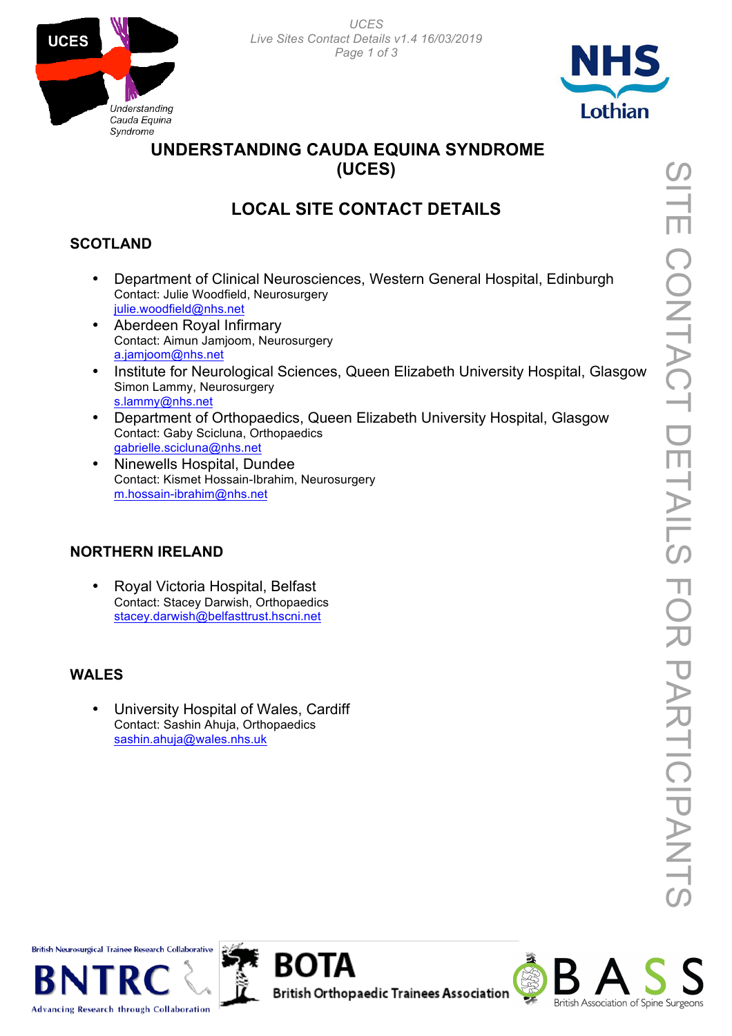*UCES Live Sites Contact Details v1.4 16/03/2019 Page 1 of 3*





## **UNDERSTANDING CAUDA EQUINA SYNDROME (UCES)**

# **LOCAL SITE CONTACT DETAILS**

## **SCOTLAND**

- Department of Clinical Neurosciences, Western General Hospital, Edinburgh Contact: Julie Woodfield, Neurosurgery julie.woodfield@nhs.net
- Aberdeen Royal Infirmary Contact: Aimun Jamjoom, Neurosurgery a.jamjoom@nhs.net
- Institute for Neurological Sciences, Queen Elizabeth University Hospital, Glasgow Simon Lammy, Neurosurgery s.lammy@nhs.net
- Department of Orthopaedics, Queen Elizabeth University Hospital, Glasgow Contact: Gaby Scicluna, Orthopaedics gabrielle.scicluna@nhs.net
- Ninewells Hospital, Dundee Contact: Kismet Hossain-Ibrahim, Neurosurgery m.hossain-ibrahim@nhs.net

#### **NORTHERN IRELAND**

• Royal Victoria Hospital, Belfast Contact: Stacey Darwish, Orthopaedics stacey.darwish@belfasttrust.hscni.net

#### **WALES**

• University Hospital of Wales, Cardiff Contact: Sashin Ahuja, Orthopaedics sashin.ahuja@wales.nhs.uk

**British Neurosurgical Trainee Research Collaborative** 



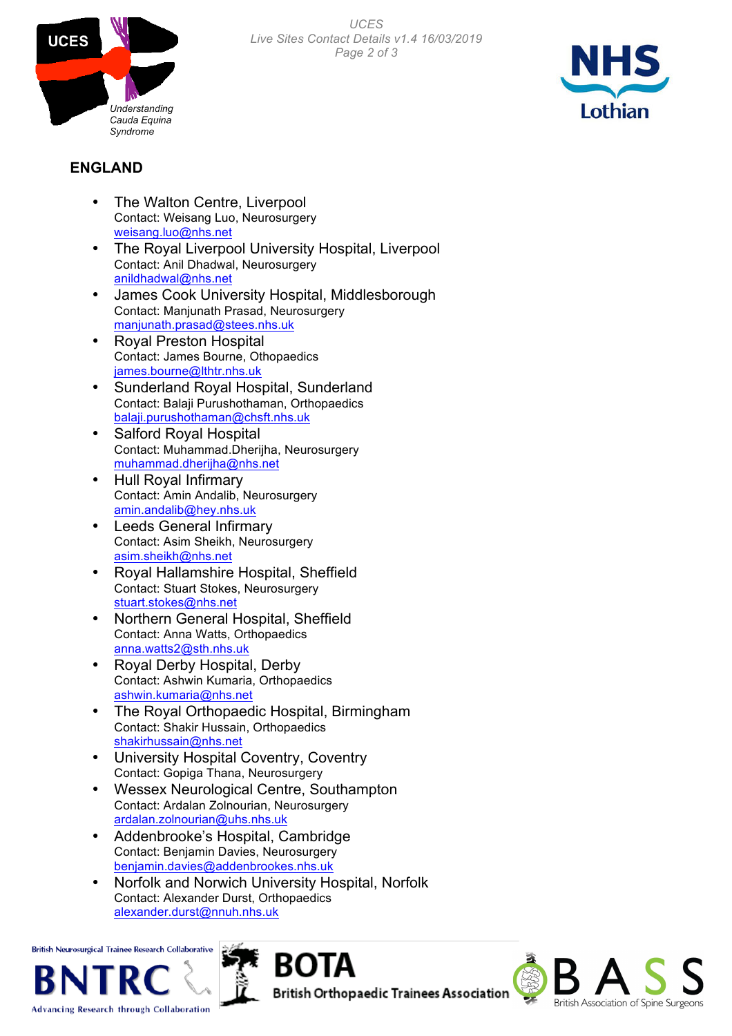



### **ENGLAND**

- The Walton Centre, Liverpool Contact: Weisang Luo, Neurosurgery weisang.luo@nhs.net
- The Royal Liverpool University Hospital, Liverpool Contact: Anil Dhadwal, Neurosurgery anildhadwal@nhs.net
- James Cook University Hospital, Middlesborough Contact: Manjunath Prasad, Neurosurgery manjunath.prasad@stees.nhs.uk
- Royal Preston Hospital Contact: James Bourne, Othopaedics james.bourne@lthtr.nhs.uk
- Sunderland Royal Hospital, Sunderland Contact: Balaji Purushothaman, Orthopaedics balaji.purushothaman@chsft.nhs.uk
- Salford Royal Hospital Contact: Muhammad.Dherijha, Neurosurgery muhammad.dherijha@nhs.net
- Hull Royal Infirmary Contact: Amin Andalib, Neurosurgery amin.andalib@hey.nhs.uk
- Leeds General Infirmary Contact: Asim Sheikh, Neurosurgery asim.sheikh@nhs.net
- Royal Hallamshire Hospital, Sheffield Contact: Stuart Stokes, Neurosurgery stuart.stokes@nhs.net
- Northern General Hospital, Sheffield Contact: Anna Watts, Orthopaedics anna.watts2@sth.nhs.uk
- Royal Derby Hospital, Derby Contact: Ashwin Kumaria, Orthopaedics ashwin.kumaria@nhs.net
- The Royal Orthopaedic Hospital, Birmingham Contact: Shakir Hussain, Orthopaedics shakirhussain@nhs.net
- University Hospital Coventry, Coventry Contact: Gopiga Thana, Neurosurgery
- Wessex Neurological Centre, Southampton Contact: Ardalan Zolnourian, Neurosurgery ardalan.zolnourian@uhs.nhs.uk
- Addenbrooke's Hospital, Cambridge Contact: Benjamin Davies, Neurosurgery benjamin.davies@addenbrookes.nhs.uk
- Norfolk and Norwich University Hospital, Norfolk Contact: Alexander Durst, Orthopaedics alexander.durst@nnuh.nhs.uk

ROIA

**British Neurosurgical Trainee Research Collaborative**